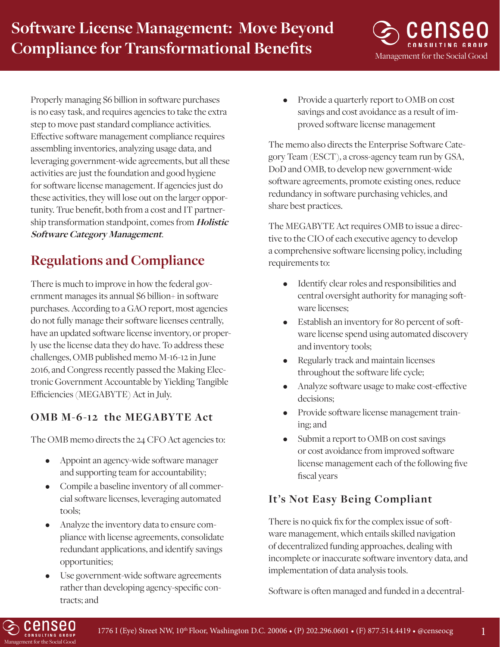Management for the Social Good

Properly managing \$6 billion in software purchases is no easy task, and requires agencies to take the extra step to move past standard compliance activities. Effective software management compliance requires assembling inventories, analyzing usage data, and leveraging government-wide agreements, but all these activities are just the foundation and good hygiene for software license management. If agencies just do these activities, they will lose out on the larger opportunity. True benefit, both from a cost and IT partnership transformation standpoint, comes from **Holistic Software Category Management**.

# **Regulations and Compliance**

There is much to improve in how the federal government manages its annual \$6 billion+ in software purchases. According to a GAO report, most agencies do not fully manage their software licenses centrally, have an updated software license inventory, or properly use the license data they do have. To address these challenges, OMB published memo M-16-12 in June 2016, and Congress recently passed the Making Electronic Government Accountable by Yielding Tangible Efficiencies (MEGABYTE) Act in July.

## **OMB M-6-12 the MEGABYTE Act**

The OMB memo directs the 24 CFO Act agencies to:

- Appoint an agency-wide software manager and supporting team for accountability;
- Compile a baseline inventory of all commercial software licenses, leveraging automated tools;
- Analyze the inventory data to ensure compliance with license agreements, consolidate redundant applications, and identify savings opportunities;
- Use government-wide software agreements rather than developing agency-specific contracts; and

• Provide a quarterly report to OMB on cost savings and cost avoidance as a result of improved software license management

The memo also directs the Enterprise Software Category Team (ESCT), a cross-agency team run by GSA, DoD and OMB, to develop new government-wide software agreements, promote existing ones, reduce redundancy in software purchasing vehicles, and share best practices.

The MEGABYTE Act requires OMB to issue a directive to the CIO of each executive agency to develop a comprehensive software licensing policy, including requirements to:

- Identify clear roles and responsibilities and central oversight authority for managing software licenses;
- Establish an inventory for 80 percent of software license spend using automated discovery and inventory tools;
- Regularly track and maintain licenses throughout the software life cycle;
- Analyze software usage to make cost-effective decisions;
- Provide software license management training; and
- Submit a report to OMB on cost savings or cost avoidance from improved software license management each of the following five fiscal years

### **It's Not Easy Being Compliant**

There is no quick fix for the complex issue of software management, which entails skilled navigation of decentralized funding approaches, dealing with incomplete or inaccurate software inventory data, and implementation of data analysis tools.

Software is often managed and funded in a decentral-

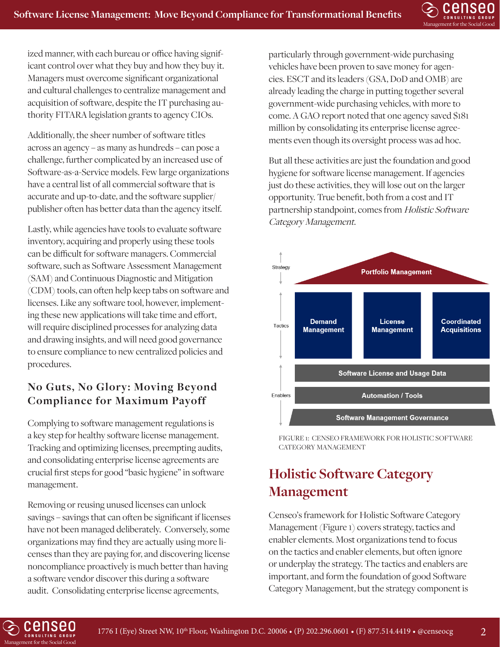

ized manner, with each bureau or office having significant control over what they buy and how they buy it. Managers must overcome significant organizational and cultural challenges to centralize management and acquisition of software, despite the IT purchasing authority FITARA legislation grants to agency CIOs.

Additionally, the sheer number of software titles across an agency – as many as hundreds – can pose a challenge, further complicated by an increased use of Software-as-a-Service models. Few large organizations have a central list of all commercial software that is accurate and up-to-date, and the software supplier/ publisher often has better data than the agency itself.

Lastly, while agencies have tools to evaluate software inventory, acquiring and properly using these tools can be difficult for software managers. Commercial software, such as Software Assessment Management (SAM) and Continuous Diagnostic and Mitigation (CDM) tools, can often help keep tabs on software and licenses. Like any software tool, however, implementing these new applications will take time and effort, will require disciplined processes for analyzing data and drawing insights, and will need good governance to ensure compliance to new centralized policies and procedures.

### **No Guts, No Glory: Moving Beyond Compliance for Maximum Payoff**

Complying to software management regulations is a key step for healthy software license management. Tracking and optimizing licenses, preempting audits, and consolidating enterprise license agreements are crucial first steps for good "basic hygiene" in software management.

Removing or reusing unused licenses can unlock savings – savings that can often be significant if licenses have not been managed deliberately. Conversely, some organizations may find they are actually using more licenses than they are paying for, and discovering license noncompliance proactively is much better than having a software vendor discover this during a software audit. Consolidating enterprise license agreements,

particularly through government-wide purchasing vehicles have been proven to save money for agencies. ESCT and its leaders (GSA, DoD and OMB) are already leading the charge in putting together several government-wide purchasing vehicles, with more to come. A GAO report noted that one agency saved \$181 million by consolidating its enterprise license agreements even though its oversight process was ad hoc.

But all these activities are just the foundation and good hygiene for software license management. If agencies just do these activities, they will lose out on the larger opportunity. True benefit, both from a cost and IT partnership standpoint, comes from Holistic Software Category Management.



FIGURE 1: CENSEO FRAMEWORK FOR HOLISTIC SOFTWARE CATEGORY MANAGEMENT

## **Holistic Software Category Management**

Censeo's framework for Holistic Software Category Management (Figure 1) covers strategy, tactics and enabler elements. Most organizations tend to focus on the tactics and enabler elements, but often ignore or underplay the strategy. The tactics and enablers are important, and form the foundation of good Software Category Management, but the strategy component is

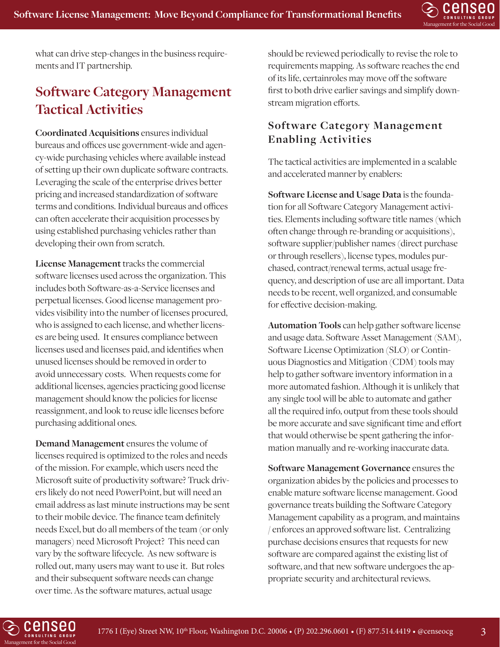

what can drive step-changes in the business requirements and IT partnership.

## **Software Category Management Tactical Activities**

**Coordinated Acquisitions** ensures individual bureaus and offices use government-wide and agency-wide purchasing vehicles where available instead of setting up their own duplicate software contracts. Leveraging the scale of the enterprise drives better pricing and increased standardization of software terms and conditions. Individual bureaus and offices can often accelerate their acquisition processes by using established purchasing vehicles rather than developing their own from scratch.

**License Management** tracks the commercial software licenses used across the organization. This includes both Software-as-a-Service licenses and perpetual licenses. Good license management provides visibility into the number of licenses procured, who is assigned to each license, and whether licenses are being used. It ensures compliance between licenses used and licenses paid, and identifies when unused licenses should be removed in order to avoid unnecessary costs. When requests come for additional licenses, agencies practicing good license management should know the policies for license reassignment, and look to reuse idle licenses before purchasing additional ones.

**Demand Management** ensures the volume of licenses required is optimized to the roles and needs of the mission. For example, which users need the Microsoft suite of productivity software? Truck drivers likely do not need PowerPoint, but will need an email address as last minute instructions may be sent to their mobile device. The finance team definitely needs Excel, but do all members of the team (or only managers) need Microsoft Project? This need can vary by the software lifecycle. As new software is rolled out, many users may want to use it. But roles and their subsequent software needs can change over time. As the software matures, actual usage

should be reviewed periodically to revise the role to requirements mapping. As software reaches the end of its life, certainroles may move off the software first to both drive earlier savings and simplify downstream migration efforts.

### **Software Category Management Enabling Activities**

The tactical activities are implemented in a scalable and accelerated manner by enablers:

**Software License and Usage Data** is the foundation for all Software Category Management activities. Elements including software title names (which often change through re-branding or acquisitions), software supplier/publisher names (direct purchase or through resellers), license types, modules purchased, contract/renewal terms, actual usage frequency, and description of use are all important. Data needs to be recent, well organized, and consumable for effective decision-making.

**Automation Tools** can help gather software license and usage data. Software Asset Management (SAM), Software License Optimization (SLO) or Continuous Diagnostics and Mitigation (CDM) tools may help to gather software inventory information in a more automated fashion. Although it is unlikely that any single tool will be able to automate and gather all the required info, output from these tools should be more accurate and save significant time and effort that would otherwise be spent gathering the information manually and re-working inaccurate data.

**Software Management Governance** ensures the organization abides by the policies and processes to enable mature software license management. Good governance treats building the Software Category Management capability as a program, and maintains / enforces an approved software list. Centralizing purchase decisions ensures that requests for new software are compared against the existing list of software, and that new software undergoes the appropriate security and architectural reviews.